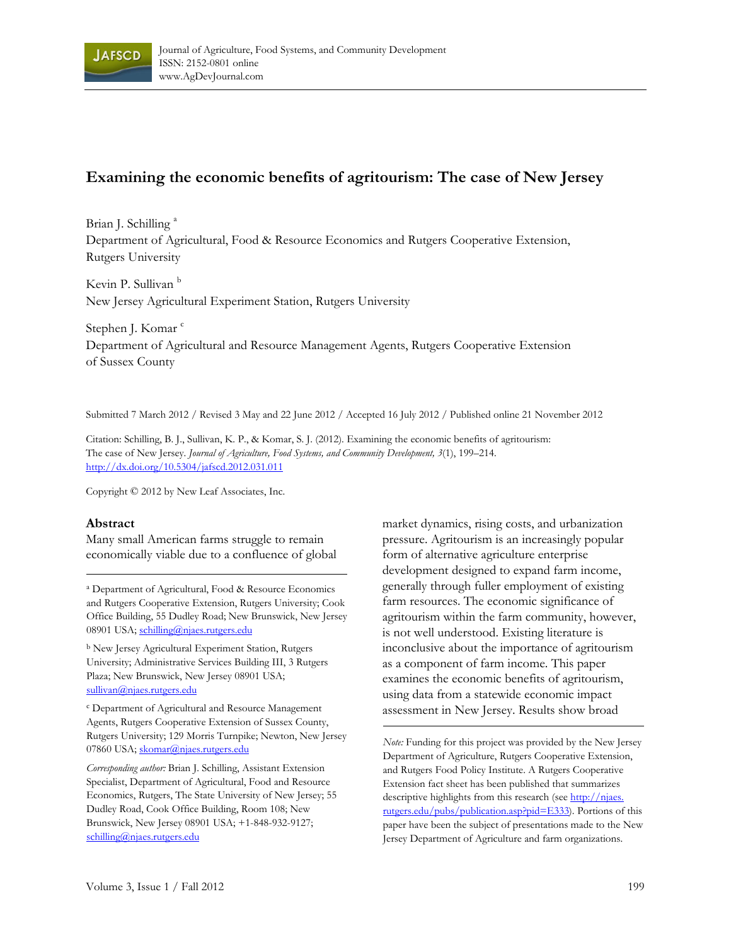

# **Examining the economic benefits of agritourism: The case of New Jersey**

Brian J. Schilling<sup>a</sup> Department of Agricultural, Food & Resource Economics and Rutgers Cooperative Extension, Rutgers University

Kevin P. Sullivan<sup>b</sup> New Jersey Agricultural Experiment Station, Rutgers University

Stephen J. Komar<sup>c</sup> Department of Agricultural and Resource Management Agents, Rutgers Cooperative Extension of Sussex County

Submitted 7 March 2012 / Revised 3 May and 22 June 2012 / Accepted 16 July 2012 / Published online 21 November 2012

Citation: Schilling, B. J., Sullivan, K. P., & Komar, S. J. (2012). Examining the economic benefits of agritourism: The case of New Jersey. *Journal of Agriculture, Food Systems, and Community Development, 3*(1), 199–214. http://dx.doi.org/10.5304/jafscd.2012.031.011

Copyright © 2012 by New Leaf Associates, Inc.

#### **Abstract**

Many small American farms struggle to remain economically viable due to a confluence of global

a Department of Agricultural, Food & Resource Economics and Rutgers Cooperative Extension, Rutgers University; Cook Office Building, 55 Dudley Road; New Brunswick, New Jersey 08901 USA; schilling@njaes.rutgers.edu

b New Jersey Agricultural Experiment Station, Rutgers University; Administrative Services Building III, 3 Rutgers Plaza; New Brunswick, New Jersey 08901 USA; sullivan@njaes.rutgers.edu

c Department of Agricultural and Resource Management Agents, Rutgers Cooperative Extension of Sussex County, Rutgers University; 129 Morris Turnpike; Newton, New Jersey 07860 USA; skomar@njaes.rutgers.edu

*Corresponding author:* Brian J. Schilling, Assistant Extension Specialist, Department of Agricultural, Food and Resource Economics, Rutgers, The State University of New Jersey; 55 Dudley Road, Cook Office Building, Room 108; New Brunswick, New Jersey 08901 USA; +1-848-932-9127; schilling@njaes.rutgers.edu

market dynamics, rising costs, and urbanization pressure. Agritourism is an increasingly popular form of alternative agriculture enterprise development designed to expand farm income, generally through fuller employment of existing farm resources. The economic significance of agritourism within the farm community, however, is not well understood. Existing literature is inconclusive about the importance of agritourism as a component of farm income. This paper examines the economic benefits of agritourism, using data from a statewide economic impact assessment in New Jersey. Results show broad

*Note:* Funding for this project was provided by the New Jersey Department of Agriculture, Rutgers Cooperative Extension, and Rutgers Food Policy Institute. A Rutgers Cooperative Extension fact sheet has been published that summarizes descriptive highlights from this research (see http://njaes. rutgers.edu/pubs/publication.asp?pid=E333). Portions of this paper have been the subject of presentations made to the New Jersey Department of Agriculture and farm organizations.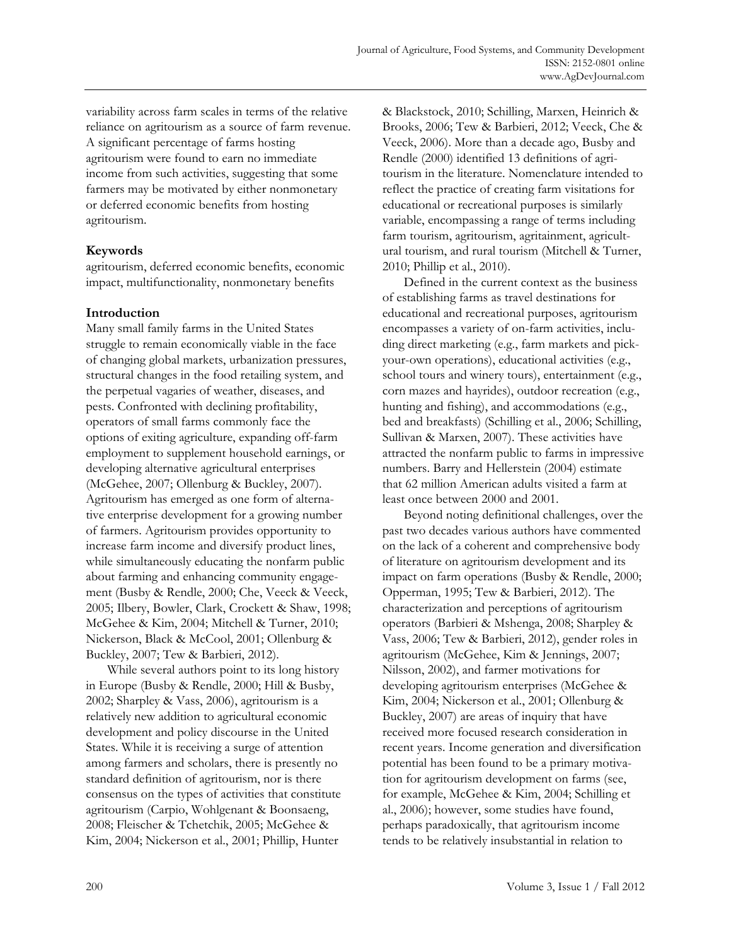variability across farm scales in terms of the relative reliance on agritourism as a source of farm revenue. A significant percentage of farms hosting agritourism were found to earn no immediate income from such activities, suggesting that some farmers may be motivated by either nonmonetary or deferred economic benefits from hosting agritourism.

## **Keywords**

agritourism, deferred economic benefits, economic impact, multifunctionality, nonmonetary benefits

## **Introduction**

Many small family farms in the United States struggle to remain economically viable in the face of changing global markets, urbanization pressures, structural changes in the food retailing system, and the perpetual vagaries of weather, diseases, and pests. Confronted with declining profitability, operators of small farms commonly face the options of exiting agriculture, expanding off-farm employment to supplement household earnings, or developing alternative agricultural enterprises (McGehee, 2007; Ollenburg & Buckley, 2007). Agritourism has emerged as one form of alternative enterprise development for a growing number of farmers. Agritourism provides opportunity to increase farm income and diversify product lines, while simultaneously educating the nonfarm public about farming and enhancing community engagement (Busby & Rendle, 2000; Che, Veeck & Veeck, 2005; Ilbery, Bowler, Clark, Crockett & Shaw, 1998; McGehee & Kim, 2004; Mitchell & Turner, 2010; Nickerson, Black & McCool, 2001; Ollenburg & Buckley, 2007; Tew & Barbieri, 2012).

While several authors point to its long history in Europe (Busby & Rendle, 2000; Hill & Busby, 2002; Sharpley & Vass, 2006), agritourism is a relatively new addition to agricultural economic development and policy discourse in the United States. While it is receiving a surge of attention among farmers and scholars, there is presently no standard definition of agritourism, nor is there consensus on the types of activities that constitute agritourism (Carpio, Wohlgenant & Boonsaeng, 2008; Fleischer & Tchetchik, 2005; McGehee & Kim, 2004; Nickerson et al., 2001; Phillip, Hunter

& Blackstock, 2010; Schilling, Marxen, Heinrich & Brooks, 2006; Tew & Barbieri, 2012; Veeck, Che & Veeck, 2006). More than a decade ago, Busby and Rendle (2000) identified 13 definitions of agritourism in the literature. Nomenclature intended to reflect the practice of creating farm visitations for educational or recreational purposes is similarly variable, encompassing a range of terms including farm tourism, agritourism, agritainment, agricultural tourism, and rural tourism (Mitchell & Turner, 2010; Phillip et al., 2010).

 Defined in the current context as the business of establishing farms as travel destinations for educational and recreational purposes, agritourism encompasses a variety of on-farm activities, including direct marketing (e.g., farm markets and pickyour-own operations), educational activities (e.g., school tours and winery tours), entertainment (e.g., corn mazes and hayrides), outdoor recreation (e.g., hunting and fishing), and accommodations (e.g., bed and breakfasts) (Schilling et al., 2006; Schilling, Sullivan & Marxen, 2007). These activities have attracted the nonfarm public to farms in impressive numbers. Barry and Hellerstein (2004) estimate that 62 million American adults visited a farm at least once between 2000 and 2001.

 Beyond noting definitional challenges, over the past two decades various authors have commented on the lack of a coherent and comprehensive body of literature on agritourism development and its impact on farm operations (Busby & Rendle, 2000; Opperman, 1995; Tew & Barbieri, 2012). The characterization and perceptions of agritourism operators (Barbieri & Mshenga, 2008; Sharpley & Vass, 2006; Tew & Barbieri, 2012), gender roles in agritourism (McGehee, Kim & Jennings, 2007; Nilsson, 2002), and farmer motivations for developing agritourism enterprises (McGehee & Kim, 2004; Nickerson et al., 2001; Ollenburg & Buckley, 2007) are areas of inquiry that have received more focused research consideration in recent years. Income generation and diversification potential has been found to be a primary motivation for agritourism development on farms (see, for example, McGehee & Kim, 2004; Schilling et al., 2006); however, some studies have found, perhaps paradoxically, that agritourism income tends to be relatively insubstantial in relation to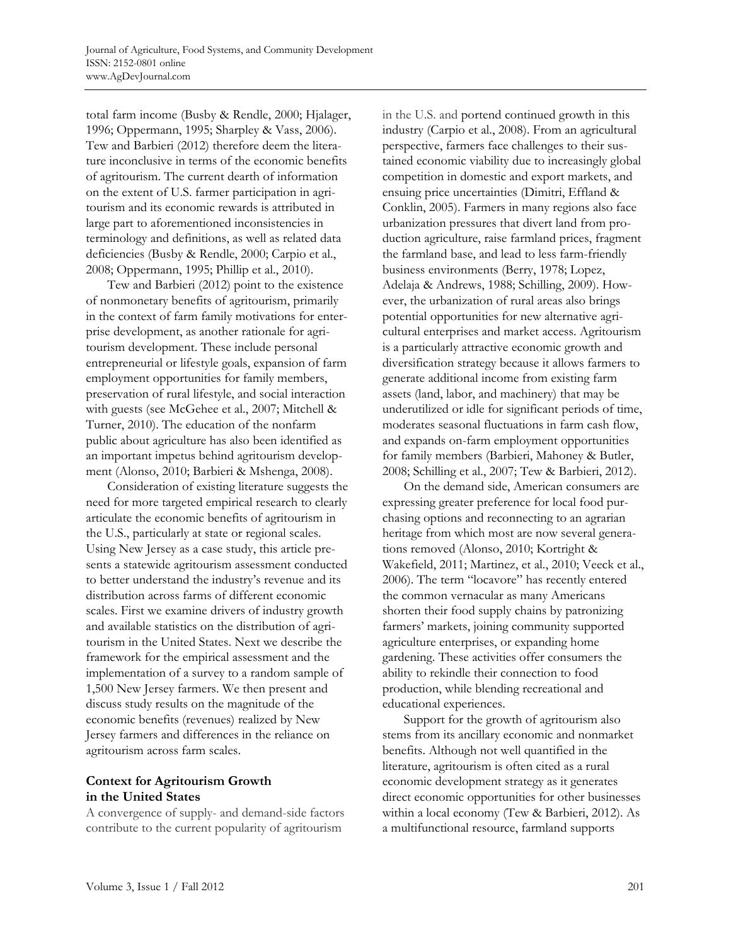total farm income (Busby & Rendle, 2000; Hjalager, 1996; Oppermann, 1995; Sharpley & Vass, 2006). Tew and Barbieri (2012) therefore deem the literature inconclusive in terms of the economic benefits of agritourism. The current dearth of information on the extent of U.S. farmer participation in agritourism and its economic rewards is attributed in large part to aforementioned inconsistencies in terminology and definitions, as well as related data deficiencies (Busby & Rendle, 2000; Carpio et al., 2008; Oppermann, 1995; Phillip et al., 2010).

 Tew and Barbieri (2012) point to the existence of nonmonetary benefits of agritourism, primarily in the context of farm family motivations for enterprise development, as another rationale for agritourism development. These include personal entrepreneurial or lifestyle goals, expansion of farm employment opportunities for family members, preservation of rural lifestyle, and social interaction with guests (see McGehee et al., 2007; Mitchell & Turner, 2010). The education of the nonfarm public about agriculture has also been identified as an important impetus behind agritourism development (Alonso, 2010; Barbieri & Mshenga, 2008).

 Consideration of existing literature suggests the need for more targeted empirical research to clearly articulate the economic benefits of agritourism in the U.S., particularly at state or regional scales. Using New Jersey as a case study, this article presents a statewide agritourism assessment conducted to better understand the industry's revenue and its distribution across farms of different economic scales. First we examine drivers of industry growth and available statistics on the distribution of agritourism in the United States. Next we describe the framework for the empirical assessment and the implementation of a survey to a random sample of 1,500 New Jersey farmers. We then present and discuss study results on the magnitude of the economic benefits (revenues) realized by New Jersey farmers and differences in the reliance on agritourism across farm scales.

## **Context for Agritourism Growth in the United States**

A convergence of supply- and demand-side factors contribute to the current popularity of agritourism

in the U.S. and portend continued growth in this industry (Carpio et al., 2008). From an agricultural perspective, farmers face challenges to their sustained economic viability due to increasingly global competition in domestic and export markets, and ensuing price uncertainties (Dimitri, Effland & Conklin, 2005). Farmers in many regions also face urbanization pressures that divert land from production agriculture, raise farmland prices, fragment the farmland base, and lead to less farm-friendly business environments (Berry, 1978; Lopez, Adelaja & Andrews, 1988; Schilling, 2009). However, the urbanization of rural areas also brings potential opportunities for new alternative agricultural enterprises and market access. Agritourism is a particularly attractive economic growth and diversification strategy because it allows farmers to generate additional income from existing farm assets (land, labor, and machinery) that may be underutilized or idle for significant periods of time, moderates seasonal fluctuations in farm cash flow, and expands on-farm employment opportunities for family members (Barbieri, Mahoney & Butler, 2008; Schilling et al., 2007; Tew & Barbieri, 2012).

 On the demand side, American consumers are expressing greater preference for local food purchasing options and reconnecting to an agrarian heritage from which most are now several generations removed (Alonso, 2010; Kortright & Wakefield, 2011; Martinez, et al., 2010; Veeck et al., 2006). The term "locavore" has recently entered the common vernacular as many Americans shorten their food supply chains by patronizing farmers' markets, joining community supported agriculture enterprises, or expanding home gardening. These activities offer consumers the ability to rekindle their connection to food production, while blending recreational and educational experiences.

 Support for the growth of agritourism also stems from its ancillary economic and nonmarket benefits. Although not well quantified in the literature, agritourism is often cited as a rural economic development strategy as it generates direct economic opportunities for other businesses within a local economy (Tew & Barbieri, 2012). As a multifunctional resource, farmland supports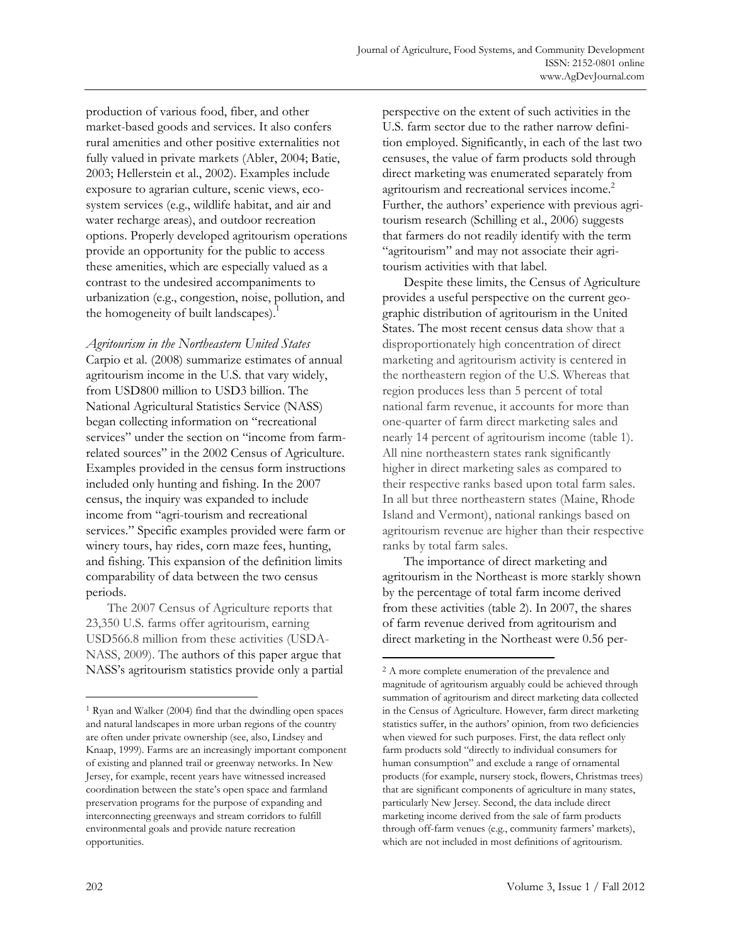production of various food, fiber, and other market-based goods and services. It also confers rural amenities and other positive externalities not fully valued in private markets (Abler, 2004; Batie, 2003; Hellerstein et al., 2002). Examples include exposure to agrarian culture, scenic views, ecosystem services (e.g., wildlife habitat, and air and water recharge areas), and outdoor recreation options. Properly developed agritourism operations provide an opportunity for the public to access these amenities, which are especially valued as a contrast to the undesired accompaniments to urbanization (e.g., congestion, noise, pollution, and the homogeneity of built landscapes).<sup>1</sup>

*Agritourism in the Northeastern United States*  Carpio et al. (2008) summarize estimates of annual agritourism income in the U.S. that vary widely, from USD800 million to USD3 billion. The National Agricultural Statistics Service (NASS) began collecting information on "recreational services" under the section on "income from farmrelated sources" in the 2002 Census of Agriculture. Examples provided in the census form instructions included only hunting and fishing. In the 2007 census, the inquiry was expanded to include income from "agri-tourism and recreational services." Specific examples provided were farm or winery tours, hay rides, corn maze fees, hunting, and fishing. This expansion of the definition limits comparability of data between the two census periods.

The 2007 Census of Agriculture reports that 23,350 U.S. farms offer agritourism, earning USD566.8 million from these activities (USDA-NASS, 2009). The authors of this paper argue that NASS's agritourism statistics provide only a partial perspective on the extent of such activities in the U.S. farm sector due to the rather narrow definition employed. Significantly, in each of the last two censuses, the value of farm products sold through direct marketing was enumerated separately from agritourism and recreational services income.2 Further, the authors' experience with previous agritourism research (Schilling et al., 2006) suggests that farmers do not readily identify with the term "agritourism" and may not associate their agritourism activities with that label.

 Despite these limits, the Census of Agriculture provides a useful perspective on the current geographic distribution of agritourism in the United States. The most recent census data show that a disproportionately high concentration of direct marketing and agritourism activity is centered in the northeastern region of the U.S. Whereas that region produces less than 5 percent of total national farm revenue, it accounts for more than one-quarter of farm direct marketing sales and nearly 14 percent of agritourism income (table 1). All nine northeastern states rank significantly higher in direct marketing sales as compared to their respective ranks based upon total farm sales. In all but three northeastern states (Maine, Rhode Island and Vermont), national rankings based on agritourism revenue are higher than their respective ranks by total farm sales.

 The importance of direct marketing and agritourism in the Northeast is more starkly shown by the percentage of total farm income derived from these activities (table 2). In 2007, the shares of farm revenue derived from agritourism and direct marketing in the Northeast were 0.56 per-

 $\overline{a}$ 

 $\overline{\phantom{a}}$ 

<sup>1</sup> Ryan and Walker (2004) find that the dwindling open spaces and natural landscapes in more urban regions of the country are often under private ownership (see, also, Lindsey and Knaap, 1999). Farms are an increasingly important component of existing and planned trail or greenway networks. In New Jersey, for example, recent years have witnessed increased coordination between the state's open space and farmland preservation programs for the purpose of expanding and interconnecting greenways and stream corridors to fulfill environmental goals and provide nature recreation opportunities.

<sup>2</sup> A more complete enumeration of the prevalence and magnitude of agritourism arguably could be achieved through summation of agritourism and direct marketing data collected in the Census of Agriculture. However, farm direct marketing statistics suffer, in the authors' opinion, from two deficiencies when viewed for such purposes. First, the data reflect only farm products sold "directly to individual consumers for human consumption" and exclude a range of ornamental products (for example, nursery stock, flowers, Christmas trees) that are significant components of agriculture in many states, particularly New Jersey. Second, the data include direct marketing income derived from the sale of farm products through off-farm venues (e.g., community farmers' markets), which are not included in most definitions of agritourism.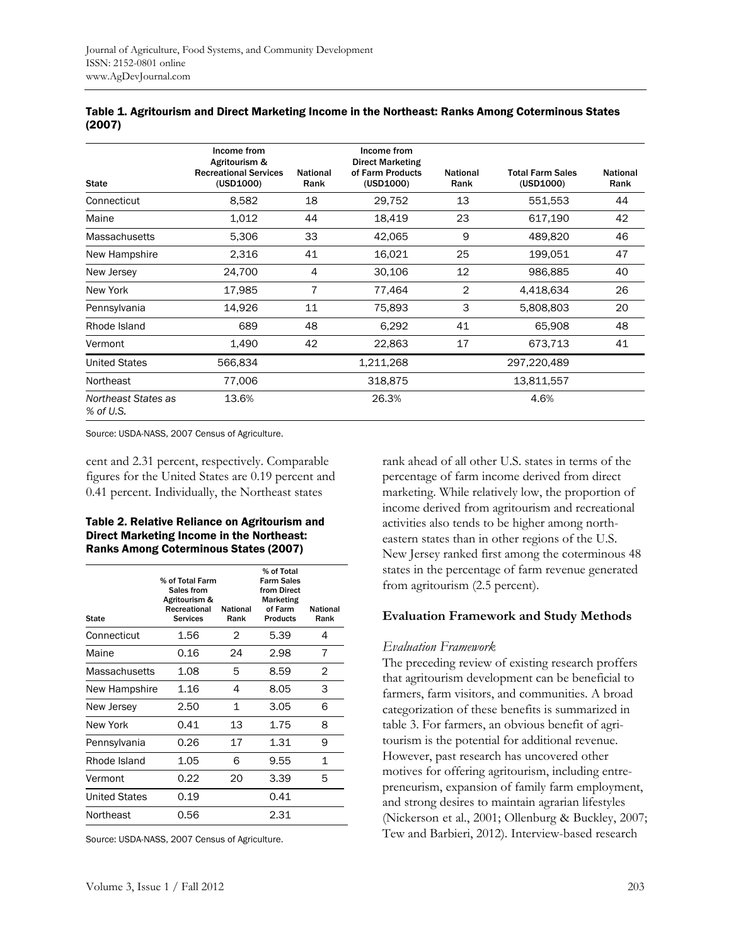| <b>State</b>                     | Income from<br>Agritourism &<br><b>Recreational Services</b><br>(USD1000) | <b>National</b><br>Rank | Income from<br><b>Direct Marketing</b><br>of Farm Products<br>(USD1000) | <b>National</b><br>Rank | <b>Total Farm Sales</b><br>(USD1000) | <b>National</b><br>Rank |
|----------------------------------|---------------------------------------------------------------------------|-------------------------|-------------------------------------------------------------------------|-------------------------|--------------------------------------|-------------------------|
| Connecticut                      | 8,582                                                                     | 18                      | 29,752                                                                  | 13                      | 551,553                              | 44                      |
| Maine                            | 1,012                                                                     | 44                      | 18,419                                                                  | 23                      | 617,190                              | 42                      |
| <b>Massachusetts</b>             | 5,306                                                                     | 33                      | 42,065                                                                  | 9                       | 489,820                              | 46                      |
| New Hampshire                    | 2,316                                                                     | 41                      | 16,021                                                                  | 25                      | 199,051                              | 47                      |
| New Jersey                       | 24,700                                                                    | 4                       | 30,106                                                                  | 12                      | 986,885                              | 40                      |
| New York                         | 17,985                                                                    | 7                       | 77,464                                                                  | $\overline{2}$          | 4,418,634                            | 26                      |
| Pennsylvania                     | 14,926                                                                    | 11                      | 75,893                                                                  | 3                       | 5,808,803                            | 20                      |
| Rhode Island                     | 689                                                                       | 48                      | 6,292                                                                   | 41                      | 65,908                               | 48                      |
| Vermont                          | 1,490                                                                     | 42                      | 22,863                                                                  | 17                      | 673,713                              | 41                      |
| <b>United States</b>             | 566,834                                                                   |                         | 1,211,268                                                               |                         | 297,220,489                          |                         |
| Northeast                        | 77,006                                                                    |                         | 318,875                                                                 |                         | 13,811,557                           |                         |
| Northeast States as<br>% of U.S. | 13.6%                                                                     |                         | 26.3%                                                                   |                         | 4.6%                                 |                         |

| Table 1. Agritourism and Direct Marketing Income in the Northeast: Ranks Among Coterminous States |  |
|---------------------------------------------------------------------------------------------------|--|
| (2007)                                                                                            |  |

Source: USDA-NASS, 2007 Census of Agriculture.

cent and 2.31 percent, respectively. Comparable figures for the United States are 0.19 percent and 0.41 percent. Individually, the Northeast states

#### Table 2. Relative Reliance on Agritourism and Direct Marketing Income in the Northeast: Ranks Among Coterminous States (2007)

| State                | % of Total Farm<br>Sales from<br>Agritourism &<br>Recreational<br><b>Services</b> | <b>National</b><br>Rank | % of Total<br><b>Farm Sales</b><br>from Direct<br><b>Marketing</b><br>of Farm<br><b>Products</b> | <b>National</b><br>Rank |
|----------------------|-----------------------------------------------------------------------------------|-------------------------|--------------------------------------------------------------------------------------------------|-------------------------|
| Connecticut          | 1.56                                                                              | 2                       | 5.39                                                                                             | 4                       |
| Maine                | 0.16                                                                              | 24                      | 2.98                                                                                             | 7                       |
| Massachusetts        | 1.08                                                                              | 5                       | 8.59                                                                                             | 2                       |
| New Hampshire        | 1.16                                                                              | 4                       | 8.05                                                                                             | 3                       |
| New Jersey           | 2.50                                                                              | 1                       | 3.05                                                                                             | 6                       |
| New York             | 0.41                                                                              | 13                      | 1.75                                                                                             | 8                       |
| Pennsylvania         | 0.26                                                                              | 17                      | 1.31                                                                                             | 9                       |
| Rhode Island         | 1.05                                                                              | 6                       | 9.55                                                                                             | 1                       |
| Vermont              | 0.22                                                                              | 20                      | 3.39                                                                                             | 5                       |
| <b>United States</b> | 0.19                                                                              |                         | 0.41                                                                                             |                         |
| Northeast            | 0.56                                                                              |                         | 2.31                                                                                             |                         |

Source: USDA-NASS, 2007 Census of Agriculture.

rank ahead of all other U.S. states in terms of the percentage of farm income derived from direct marketing. While relatively low, the proportion of income derived from agritourism and recreational activities also tends to be higher among northeastern states than in other regions of the U.S. New Jersey ranked first among the coterminous 48 states in the percentage of farm revenue generated from agritourism (2.5 percent).

### **Evaluation Framework and Study Methods**

#### *Evaluation Framework*

The preceding review of existing research proffers that agritourism development can be beneficial to farmers, farm visitors, and communities. A broad categorization of these benefits is summarized in table 3. For farmers, an obvious benefit of agritourism is the potential for additional revenue. However, past research has uncovered other motives for offering agritourism, including entrepreneurism, expansion of family farm employment, and strong desires to maintain agrarian lifestyles (Nickerson et al., 2001; Ollenburg & Buckley, 2007; Tew and Barbieri, 2012). Interview-based research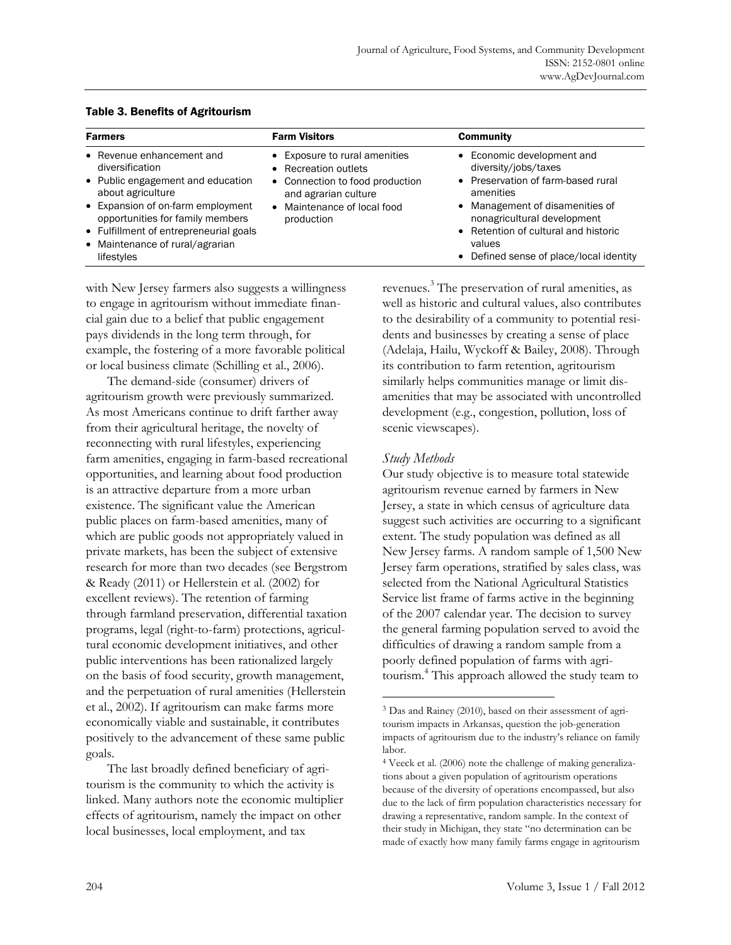| <b>Farmers</b>                                                                                                                                                                                                                                                             | <b>Farm Visitors</b>                                                                                                                                                     | <b>Community</b>                                                                                                                                                                                                                                                     |
|----------------------------------------------------------------------------------------------------------------------------------------------------------------------------------------------------------------------------------------------------------------------------|--------------------------------------------------------------------------------------------------------------------------------------------------------------------------|----------------------------------------------------------------------------------------------------------------------------------------------------------------------------------------------------------------------------------------------------------------------|
| • Revenue enhancement and<br>diversification<br>• Public engagement and education<br>about agriculture<br>• Expansion of on-farm employment<br>opportunities for family members<br>• Fulfillment of entrepreneurial goals<br>• Maintenance of rural/agrarian<br>lifestyles | • Exposure to rural amenities<br>• Recreation outlets<br>• Connection to food production<br>and agrarian culture<br>Maintenance of local food<br>$\bullet$<br>production | • Economic development and<br>diversity/jobs/taxes<br>• Preservation of farm-based rural<br>amenities<br>• Management of disamenities of<br>nonagricultural development<br>• Retention of cultural and historic<br>values<br>• Defined sense of place/local identity |

#### Table 3. Benefits of Agritourism

with New Jersey farmers also suggests a willingness to engage in agritourism without immediate financial gain due to a belief that public engagement pays dividends in the long term through, for example, the fostering of a more favorable political or local business climate (Schilling et al., 2006).

 The demand-side (consumer) drivers of agritourism growth were previously summarized. As most Americans continue to drift farther away from their agricultural heritage, the novelty of reconnecting with rural lifestyles, experiencing farm amenities, engaging in farm-based recreational opportunities, and learning about food production is an attractive departure from a more urban existence. The significant value the American public places on farm-based amenities, many of which are public goods not appropriately valued in private markets, has been the subject of extensive research for more than two decades (see Bergstrom & Ready (2011) or Hellerstein et al. (2002) for excellent reviews). The retention of farming through farmland preservation, differential taxation programs, legal (right-to-farm) protections, agricultural economic development initiatives, and other public interventions has been rationalized largely on the basis of food security, growth management, and the perpetuation of rural amenities (Hellerstein et al., 2002). If agritourism can make farms more economically viable and sustainable, it contributes positively to the advancement of these same public goals.

 The last broadly defined beneficiary of agritourism is the community to which the activity is linked. Many authors note the economic multiplier effects of agritourism, namely the impact on other local businesses, local employment, and tax

revenues. 3 The preservation of rural amenities, as well as historic and cultural values, also contributes to the desirability of a community to potential residents and businesses by creating a sense of place (Adelaja, Hailu, Wyckoff & Bailey, 2008). Through its contribution to farm retention, agritourism similarly helps communities manage or limit disamenities that may be associated with uncontrolled development (e.g., congestion, pollution, loss of scenic viewscapes).

## *Study Methods*

 $\overline{a}$ 

Our study objective is to measure total statewide agritourism revenue earned by farmers in New Jersey, a state in which census of agriculture data suggest such activities are occurring to a significant extent. The study population was defined as all New Jersey farms. A random sample of 1,500 New Jersey farm operations, stratified by sales class, was selected from the National Agricultural Statistics Service list frame of farms active in the beginning of the 2007 calendar year. The decision to survey the general farming population served to avoid the difficulties of drawing a random sample from a poorly defined population of farms with agritourism.<sup>4</sup> This approach allowed the study team to

<sup>3</sup> Das and Rainey (2010), based on their assessment of agritourism impacts in Arkansas, question the job-generation impacts of agritourism due to the industry's reliance on family labor.

<sup>4</sup> Veeck et al. (2006) note the challenge of making generalizations about a given population of agritourism operations because of the diversity of operations encompassed, but also due to the lack of firm population characteristics necessary for drawing a representative, random sample. In the context of their study in Michigan, they state "no determination can be made of exactly how many family farms engage in agritourism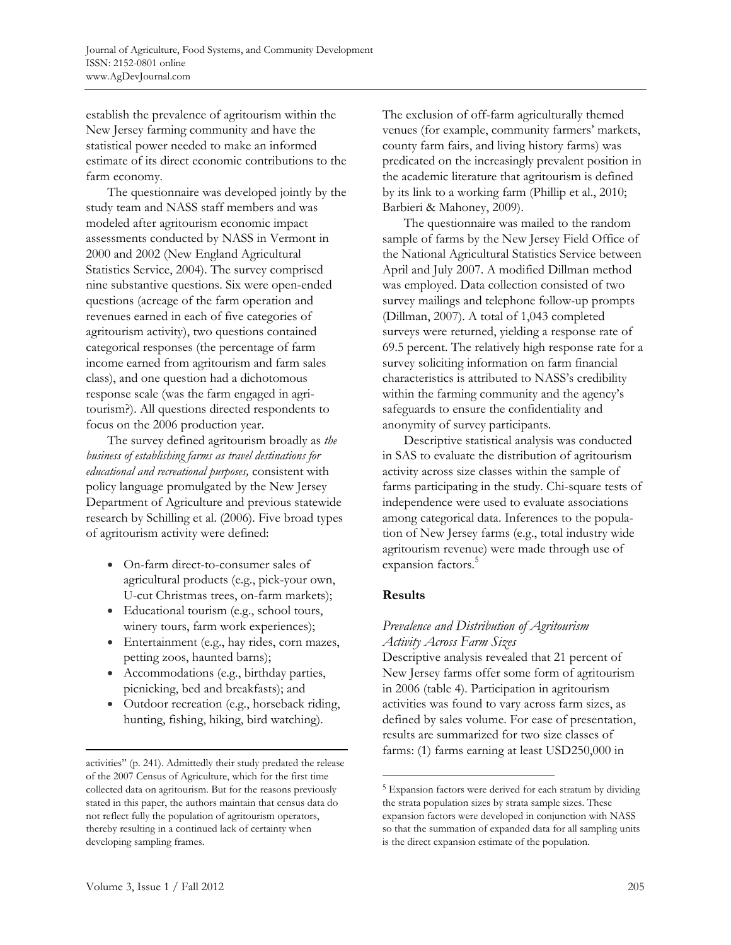establish the prevalence of agritourism within the New Jersey farming community and have the statistical power needed to make an informed estimate of its direct economic contributions to the farm economy.

 The questionnaire was developed jointly by the study team and NASS staff members and was modeled after agritourism economic impact assessments conducted by NASS in Vermont in 2000 and 2002 (New England Agricultural Statistics Service, 2004). The survey comprised nine substantive questions. Six were open-ended questions (acreage of the farm operation and revenues earned in each of five categories of agritourism activity), two questions contained categorical responses (the percentage of farm income earned from agritourism and farm sales class), and one question had a dichotomous response scale (was the farm engaged in agritourism?). All questions directed respondents to focus on the 2006 production year.

 The survey defined agritourism broadly as *the business of establishing farms as travel destinations for educational and recreational purposes,* consistent with policy language promulgated by the New Jersey Department of Agriculture and previous statewide research by Schilling et al. (2006). Five broad types of agritourism activity were defined:

- On-farm direct-to-consumer sales of agricultural products (e.g., pick-your own, U-cut Christmas trees, on-farm markets);
- Educational tourism (e.g., school tours, winery tours, farm work experiences);
- Entertainment (e.g., hay rides, corn mazes, petting zoos, haunted barns);
- Accommodations (e.g., birthday parties, picnicking, bed and breakfasts); and
- Outdoor recreation (e.g., horseback riding, hunting, fishing, hiking, bird watching).

The exclusion of off-farm agriculturally themed venues (for example, community farmers' markets, county farm fairs, and living history farms) was predicated on the increasingly prevalent position in the academic literature that agritourism is defined by its link to a working farm (Phillip et al., 2010; Barbieri & Mahoney, 2009).

 The questionnaire was mailed to the random sample of farms by the New Jersey Field Office of the National Agricultural Statistics Service between April and July 2007. A modified Dillman method was employed. Data collection consisted of two survey mailings and telephone follow-up prompts (Dillman, 2007). A total of 1,043 completed surveys were returned, yielding a response rate of 69.5 percent. The relatively high response rate for a survey soliciting information on farm financial characteristics is attributed to NASS's credibility within the farming community and the agency's safeguards to ensure the confidentiality and anonymity of survey participants.

 Descriptive statistical analysis was conducted in SAS to evaluate the distribution of agritourism activity across size classes within the sample of farms participating in the study. Chi-square tests of independence were used to evaluate associations among categorical data. Inferences to the population of New Jersey farms (e.g., total industry wide agritourism revenue) were made through use of expansion factors.<sup>5</sup>

## **Results**

 $\overline{a}$ 

## *Prevalence and Distribution of Agritourism Activity Across Farm Sizes*

Descriptive analysis revealed that 21 percent of New Jersey farms offer some form of agritourism in 2006 (table 4). Participation in agritourism activities was found to vary across farm sizes, as defined by sales volume. For ease of presentation, results are summarized for two size classes of farms: (1) farms earning at least USD250,000 in

1

activities" (p. 241). Admittedly their study predated the release of the 2007 Census of Agriculture, which for the first time collected data on agritourism. But for the reasons previously stated in this paper, the authors maintain that census data do not reflect fully the population of agritourism operators, thereby resulting in a continued lack of certainty when developing sampling frames.

<sup>5</sup> Expansion factors were derived for each stratum by dividing the strata population sizes by strata sample sizes. These expansion factors were developed in conjunction with NASS so that the summation of expanded data for all sampling units is the direct expansion estimate of the population.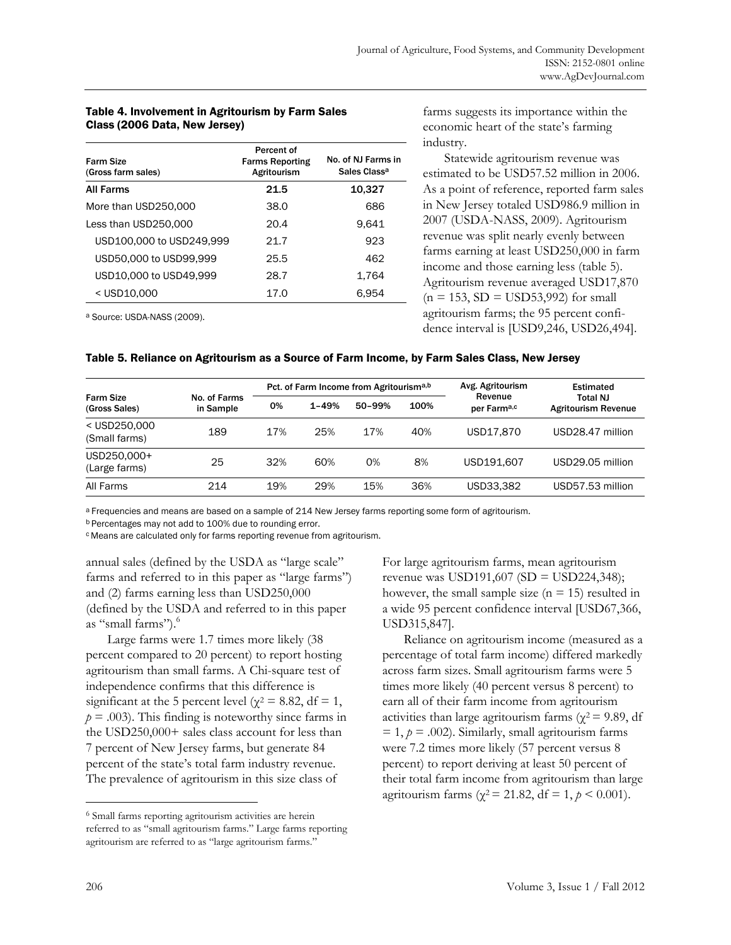#### Table 4. Involvement in Agritourism by Farm Sales Class (2006 Data, New Jersey)

| Farm Size<br>(Gross farm sales) | Percent of<br><b>Farms Reporting</b><br>Agritourism | No. of NJ Farms in<br>Sales Class <sup>a</sup> |  |
|---------------------------------|-----------------------------------------------------|------------------------------------------------|--|
| <b>All Farms</b>                | 21.5                                                | 10,327                                         |  |
| More than USD250,000            | 38.0                                                | 686                                            |  |
| Less than USD250,000            | 20.4                                                | 9.641                                          |  |
| USD100,000 to USD249,999        | 21.7                                                | 923                                            |  |
| USD50,000 to USD99,999          | 25.5                                                | 462                                            |  |
| USD10,000 to USD49,999          | 28.7                                                | 1.764                                          |  |
| < USD10,000                     | 17.0                                                | 6.954                                          |  |

farms suggests its importance within the economic heart of the state's farming industry.

 Statewide agritourism revenue was estimated to be USD57.52 million in 2006. As a point of reference, reported farm sales in New Jersey totaled USD986.9 million in 2007 (USDA-NASS, 2009). Agritourism revenue was split nearly evenly between farms earning at least USD250,000 in farm income and those earning less (table 5). Agritourism revenue averaged USD17,870  $(n = 153, SD = USD53,992)$  for small agritourism farms; the 95 percent confidence interval is [USD9,246, USD26,494].

a Source: USDA-NASS (2009).

#### Table 5. Reliance on Agritourism as a Source of Farm Income, by Farm Sales Class, New Jersey

| <b>Farm Size</b><br>(Gross Sales) |                           | Pct. of Farm Income from Agritourisma,b |           |        |      | Avg. Agritourism                   | <b>Estimated</b>                       |
|-----------------------------------|---------------------------|-----------------------------------------|-----------|--------|------|------------------------------------|----------------------------------------|
|                                   | No. of Farms<br>in Sample | 0%                                      | $1 - 49%$ | 50-99% | 100% | Revenue<br>per Farm <sup>a,c</sup> | Total NJ<br><b>Agritourism Revenue</b> |
| < USD250,000<br>(Small farms)     | 189                       | 17%                                     | 25%       | 17%    | 40%  | USD17,870                          | USD28.47 million                       |
| USD250,000+<br>(Large farms)      | 25                        | 32%                                     | 60%       | 0%     | 8%   | USD191,607                         | USD29.05 million                       |
| All Farms                         | 214                       | 19%                                     | 29%       | 15%    | 36%  | USD33.382                          | USD57.53 million                       |

a Frequencies and means are based on a sample of 214 New Jersey farms reporting some form of agritourism.

b Percentages may not add to 100% due to rounding error.

c Means are calculated only for farms reporting revenue from agritourism.

annual sales (defined by the USDA as "large scale" farms and referred to in this paper as "large farms") and (2) farms earning less than USD250,000 (defined by the USDA and referred to in this paper as "small farms").

 Large farms were 1.7 times more likely (38 percent compared to 20 percent) to report hosting agritourism than small farms. A Chi-square test of independence confirms that this difference is significant at the 5 percent level ( $\chi^2 = 8.82$ , df = 1,  $p = .003$ ). This finding is noteworthy since farms in the USD250,000+ sales class account for less than 7 percent of New Jersey farms, but generate 84 percent of the state's total farm industry revenue. The prevalence of agritourism in this size class of

For large agritourism farms, mean agritourism revenue was USD191,607 (SD = USD224,348); however, the small sample size  $(n = 15)$  resulted in a wide 95 percent confidence interval [USD67,366, USD315,847].

 Reliance on agritourism income (measured as a percentage of total farm income) differed markedly across farm sizes. Small agritourism farms were 5 times more likely (40 percent versus 8 percent) to earn all of their farm income from agritourism activities than large agritourism farms ( $\chi^2$  = 9.89, df  $= 1, p = .002$ ). Similarly, small agritourism farms were 7.2 times more likely (57 percent versus 8 percent) to report deriving at least 50 percent of their total farm income from agritourism than large agritourism farms ( $\gamma^2$  = 21.82, df = 1,  $p < 0.001$ ).

 $\overline{\phantom{a}}$ 

<sup>6</sup> Small farms reporting agritourism activities are herein referred to as "small agritourism farms." Large farms reporting agritourism are referred to as "large agritourism farms."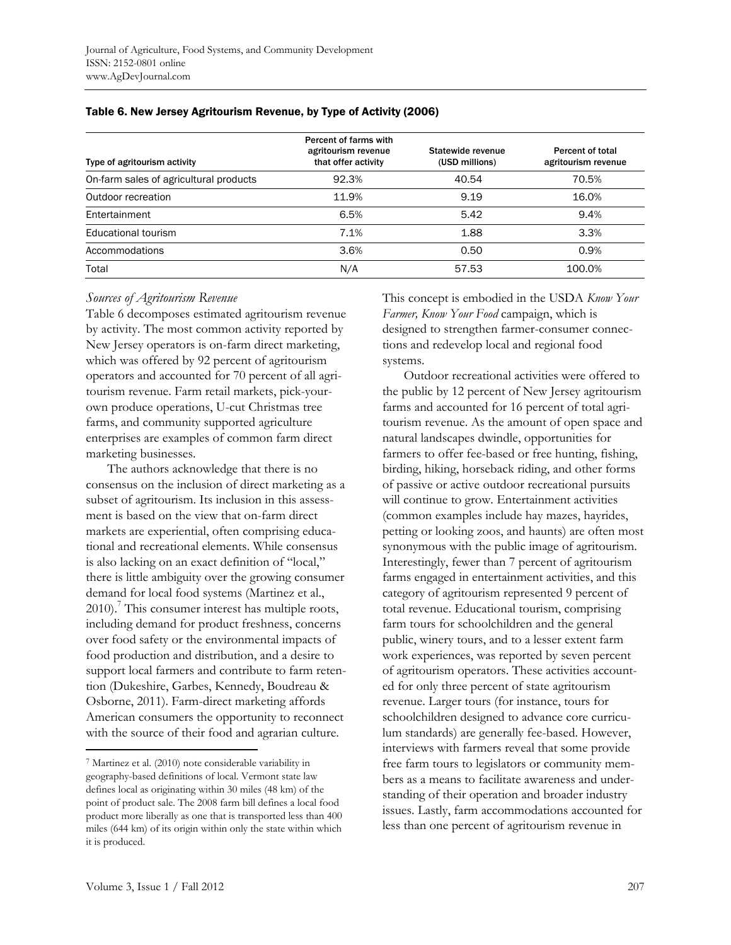| Type of agritourism activity           | Percent of farms with<br>agritourism revenue<br>that offer activity | Statewide revenue<br>(USD millions) | Percent of total<br>agritourism revenue |
|----------------------------------------|---------------------------------------------------------------------|-------------------------------------|-----------------------------------------|
| On-farm sales of agricultural products | 92.3%                                                               | 40.54                               | 70.5%                                   |
| Outdoor recreation                     | 11.9%                                                               | 9.19                                | 16.0%                                   |
| Entertainment                          | 6.5%                                                                | 5.42                                | 9.4%                                    |
| Educational tourism                    | 7.1%                                                                | 1.88                                | 3.3%                                    |
| Accommodations                         | 3.6%                                                                | 0.50                                | 0.9%                                    |
| Total                                  | N/A                                                                 | 57.53                               | 100.0%                                  |

#### Table 6. New Jersey Agritourism Revenue, by Type of Activity (2006)

#### *Sources of Agritourism Revenue*

Table 6 decomposes estimated agritourism revenue by activity. The most common activity reported by New Jersey operators is on-farm direct marketing, which was offered by 92 percent of agritourism operators and accounted for 70 percent of all agritourism revenue. Farm retail markets, pick-yourown produce operations, U-cut Christmas tree farms, and community supported agriculture enterprises are examples of common farm direct marketing businesses.

 The authors acknowledge that there is no consensus on the inclusion of direct marketing as a subset of agritourism. Its inclusion in this assessment is based on the view that on-farm direct markets are experiential, often comprising educational and recreational elements. While consensus is also lacking on an exact definition of "local," there is little ambiguity over the growing consumer demand for local food systems (Martinez et al., 2010).<sup>7</sup> This consumer interest has multiple roots, including demand for product freshness, concerns over food safety or the environmental impacts of food production and distribution, and a desire to support local farmers and contribute to farm retention (Dukeshire, Garbes, Kennedy, Boudreau & Osborne, 2011). Farm-direct marketing affords American consumers the opportunity to reconnect with the source of their food and agrarian culture.

This concept is embodied in the USDA *Know Your Farmer, Know Your Food* campaign, which is designed to strengthen farmer-consumer connections and redevelop local and regional food systems.

 Outdoor recreational activities were offered to the public by 12 percent of New Jersey agritourism farms and accounted for 16 percent of total agritourism revenue. As the amount of open space and natural landscapes dwindle, opportunities for farmers to offer fee-based or free hunting, fishing, birding, hiking, horseback riding, and other forms of passive or active outdoor recreational pursuits will continue to grow. Entertainment activities (common examples include hay mazes, hayrides, petting or looking zoos, and haunts) are often most synonymous with the public image of agritourism. Interestingly, fewer than 7 percent of agritourism farms engaged in entertainment activities, and this category of agritourism represented 9 percent of total revenue. Educational tourism, comprising farm tours for schoolchildren and the general public, winery tours, and to a lesser extent farm work experiences, was reported by seven percent of agritourism operators. These activities accounted for only three percent of state agritourism revenue. Larger tours (for instance, tours for schoolchildren designed to advance core curriculum standards) are generally fee-based. However, interviews with farmers reveal that some provide free farm tours to legislators or community members as a means to facilitate awareness and understanding of their operation and broader industry issues. Lastly, farm accommodations accounted for less than one percent of agritourism revenue in

1

<sup>7</sup> Martinez et al. (2010) note considerable variability in geography-based definitions of local. Vermont state law defines local as originating within 30 miles (48 km) of the point of product sale. The 2008 farm bill defines a local food product more liberally as one that is transported less than 400 miles (644 km) of its origin within only the state within which it is produced.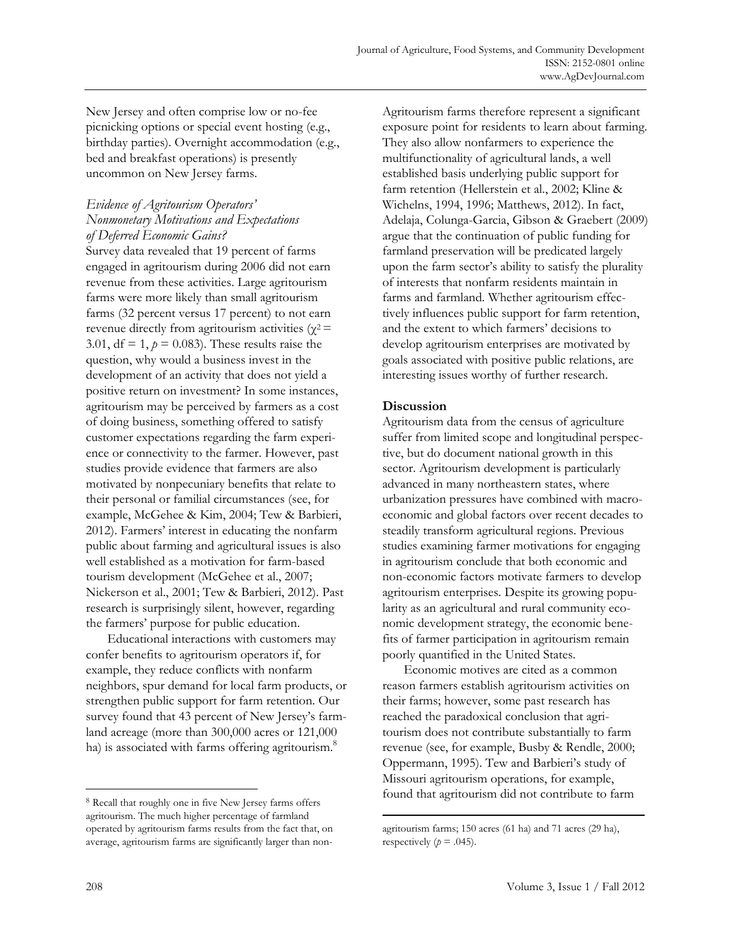New Jersey and often comprise low or no-fee picnicking options or special event hosting (e.g., birthday parties). Overnight accommodation (e.g., bed and breakfast operations) is presently uncommon on New Jersey farms.

## *Evidence of Agritourism Operators' Nonmonetary Motivations and Expectations of Deferred Economic Gains?*

Survey data revealed that 19 percent of farms engaged in agritourism during 2006 did not earn revenue from these activities. Large agritourism farms were more likely than small agritourism farms (32 percent versus 17 percent) to not earn revenue directly from agritourism activities ( $χ²$  = 3.01,  $df = 1$ ,  $p = 0.083$ ). These results raise the question, why would a business invest in the development of an activity that does not yield a positive return on investment? In some instances, agritourism may be perceived by farmers as a cost of doing business, something offered to satisfy customer expectations regarding the farm experience or connectivity to the farmer. However, past studies provide evidence that farmers are also motivated by nonpecuniary benefits that relate to their personal or familial circumstances (see, for example, McGehee & Kim, 2004; Tew & Barbieri, 2012). Farmers' interest in educating the nonfarm public about farming and agricultural issues is also well established as a motivation for farm-based tourism development (McGehee et al., 2007; Nickerson et al., 2001; Tew & Barbieri, 2012). Past research is surprisingly silent, however, regarding the farmers' purpose for public education.

 Educational interactions with customers may confer benefits to agritourism operators if, for example, they reduce conflicts with nonfarm neighbors, spur demand for local farm products, or strengthen public support for farm retention. Our survey found that 43 percent of New Jersey's farmland acreage (more than 300,000 acres or 121,000 ha) is associated with farms offering agritourism.<sup>8</sup>

Agritourism farms therefore represent a significant exposure point for residents to learn about farming. They also allow nonfarmers to experience the multifunctionality of agricultural lands, a well established basis underlying public support for farm retention (Hellerstein et al., 2002; Kline & Wichelns, 1994, 1996; Matthews, 2012). In fact, Adelaja, Colunga-Garcia, Gibson & Graebert (2009) argue that the continuation of public funding for farmland preservation will be predicated largely upon the farm sector's ability to satisfy the plurality of interests that nonfarm residents maintain in farms and farmland. Whether agritourism effectively influences public support for farm retention, and the extent to which farmers' decisions to develop agritourism enterprises are motivated by goals associated with positive public relations, are interesting issues worthy of further research.

## **Discussion**

 $\overline{\phantom{a}}$ 

Agritourism data from the census of agriculture suffer from limited scope and longitudinal perspective, but do document national growth in this sector. Agritourism development is particularly advanced in many northeastern states, where urbanization pressures have combined with macroeconomic and global factors over recent decades to steadily transform agricultural regions. Previous studies examining farmer motivations for engaging in agritourism conclude that both economic and non-economic factors motivate farmers to develop agritourism enterprises. Despite its growing popularity as an agricultural and rural community economic development strategy, the economic benefits of farmer participation in agritourism remain poorly quantified in the United States.

 Economic motives are cited as a common reason farmers establish agritourism activities on their farms; however, some past research has reached the paradoxical conclusion that agritourism does not contribute substantially to farm revenue (see, for example, Busby & Rendle, 2000; Oppermann, 1995). Tew and Barbieri's study of Missouri agritourism operations, for example, found that agritourism did not contribute to farm

 $\overline{a}$ 

<sup>8</sup> Recall that roughly one in five New Jersey farms offers agritourism. The much higher percentage of farmland operated by agritourism farms results from the fact that, on average, agritourism farms are significantly larger than non-

agritourism farms; 150 acres (61 ha) and 71 acres (29 ha), respectively  $(p = .045)$ .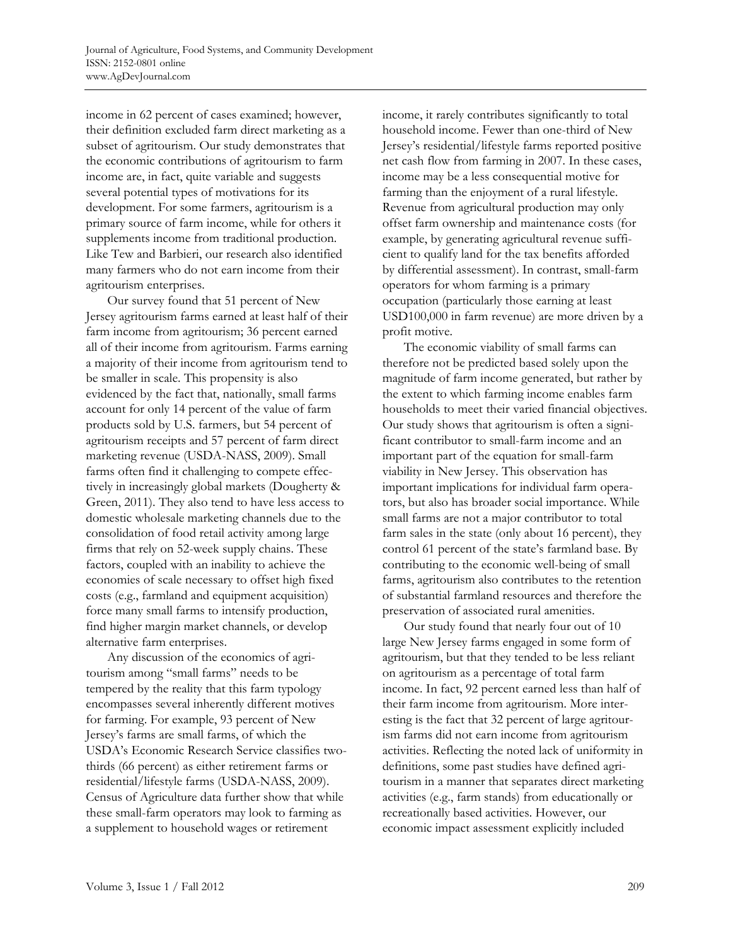income in 62 percent of cases examined; however, their definition excluded farm direct marketing as a subset of agritourism. Our study demonstrates that the economic contributions of agritourism to farm income are, in fact, quite variable and suggests several potential types of motivations for its development. For some farmers, agritourism is a primary source of farm income, while for others it supplements income from traditional production. Like Tew and Barbieri, our research also identified many farmers who do not earn income from their agritourism enterprises.

 Our survey found that 51 percent of New Jersey agritourism farms earned at least half of their farm income from agritourism; 36 percent earned all of their income from agritourism. Farms earning a majority of their income from agritourism tend to be smaller in scale. This propensity is also evidenced by the fact that, nationally, small farms account for only 14 percent of the value of farm products sold by U.S. farmers, but 54 percent of agritourism receipts and 57 percent of farm direct marketing revenue (USDA-NASS, 2009). Small farms often find it challenging to compete effectively in increasingly global markets (Dougherty & Green, 2011). They also tend to have less access to domestic wholesale marketing channels due to the consolidation of food retail activity among large firms that rely on 52-week supply chains. These factors, coupled with an inability to achieve the economies of scale necessary to offset high fixed costs (e.g., farmland and equipment acquisition) force many small farms to intensify production, find higher margin market channels, or develop alternative farm enterprises.

 Any discussion of the economics of agritourism among "small farms" needs to be tempered by the reality that this farm typology encompasses several inherently different motives for farming. For example, 93 percent of New Jersey's farms are small farms, of which the USDA's Economic Research Service classifies twothirds (66 percent) as either retirement farms or residential/lifestyle farms (USDA-NASS, 2009). Census of Agriculture data further show that while these small-farm operators may look to farming as a supplement to household wages or retirement

income, it rarely contributes significantly to total household income. Fewer than one-third of New Jersey's residential/lifestyle farms reported positive net cash flow from farming in 2007. In these cases, income may be a less consequential motive for farming than the enjoyment of a rural lifestyle. Revenue from agricultural production may only offset farm ownership and maintenance costs (for example, by generating agricultural revenue sufficient to qualify land for the tax benefits afforded by differential assessment). In contrast, small-farm operators for whom farming is a primary occupation (particularly those earning at least USD100,000 in farm revenue) are more driven by a profit motive.

 The economic viability of small farms can therefore not be predicted based solely upon the magnitude of farm income generated, but rather by the extent to which farming income enables farm households to meet their varied financial objectives. Our study shows that agritourism is often a significant contributor to small-farm income and an important part of the equation for small-farm viability in New Jersey. This observation has important implications for individual farm operators, but also has broader social importance. While small farms are not a major contributor to total farm sales in the state (only about 16 percent), they control 61 percent of the state's farmland base. By contributing to the economic well-being of small farms, agritourism also contributes to the retention of substantial farmland resources and therefore the preservation of associated rural amenities.

 Our study found that nearly four out of 10 large New Jersey farms engaged in some form of agritourism, but that they tended to be less reliant on agritourism as a percentage of total farm income. In fact, 92 percent earned less than half of their farm income from agritourism. More interesting is the fact that 32 percent of large agritourism farms did not earn income from agritourism activities. Reflecting the noted lack of uniformity in definitions, some past studies have defined agritourism in a manner that separates direct marketing activities (e.g., farm stands) from educationally or recreationally based activities. However, our economic impact assessment explicitly included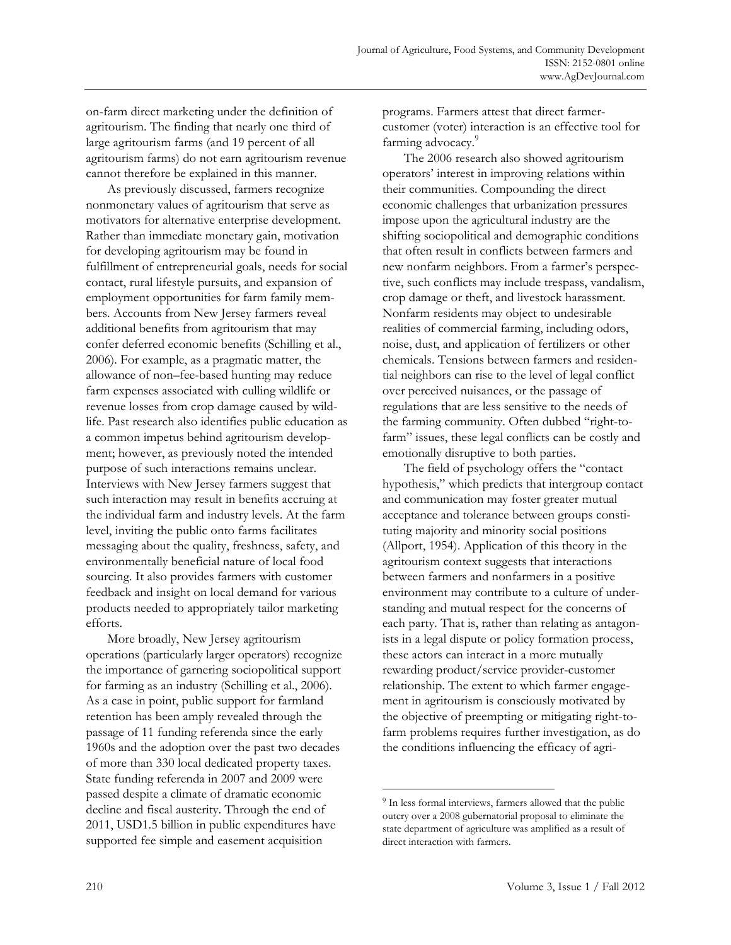on-farm direct marketing under the definition of agritourism. The finding that nearly one third of large agritourism farms (and 19 percent of all agritourism farms) do not earn agritourism revenue cannot therefore be explained in this manner.

 As previously discussed, farmers recognize nonmonetary values of agritourism that serve as motivators for alternative enterprise development. Rather than immediate monetary gain, motivation for developing agritourism may be found in fulfillment of entrepreneurial goals, needs for social contact, rural lifestyle pursuits, and expansion of employment opportunities for farm family members. Accounts from New Jersey farmers reveal additional benefits from agritourism that may confer deferred economic benefits (Schilling et al., 2006). For example, as a pragmatic matter, the allowance of non–fee-based hunting may reduce farm expenses associated with culling wildlife or revenue losses from crop damage caused by wildlife. Past research also identifies public education as a common impetus behind agritourism development; however, as previously noted the intended purpose of such interactions remains unclear. Interviews with New Jersey farmers suggest that such interaction may result in benefits accruing at the individual farm and industry levels. At the farm level, inviting the public onto farms facilitates messaging about the quality, freshness, safety, and environmentally beneficial nature of local food sourcing. It also provides farmers with customer feedback and insight on local demand for various products needed to appropriately tailor marketing efforts.

 More broadly, New Jersey agritourism operations (particularly larger operators) recognize the importance of garnering sociopolitical support for farming as an industry (Schilling et al., 2006). As a case in point, public support for farmland retention has been amply revealed through the passage of 11 funding referenda since the early 1960s and the adoption over the past two decades of more than 330 local dedicated property taxes. State funding referenda in 2007 and 2009 were passed despite a climate of dramatic economic decline and fiscal austerity. Through the end of 2011, USD1.5 billion in public expenditures have supported fee simple and easement acquisition

programs. Farmers attest that direct farmercustomer (voter) interaction is an effective tool for farming advocacy.<sup>9</sup>

 The 2006 research also showed agritourism operators' interest in improving relations within their communities. Compounding the direct economic challenges that urbanization pressures impose upon the agricultural industry are the shifting sociopolitical and demographic conditions that often result in conflicts between farmers and new nonfarm neighbors. From a farmer's perspective, such conflicts may include trespass, vandalism, crop damage or theft, and livestock harassment. Nonfarm residents may object to undesirable realities of commercial farming, including odors, noise, dust, and application of fertilizers or other chemicals. Tensions between farmers and residential neighbors can rise to the level of legal conflict over perceived nuisances, or the passage of regulations that are less sensitive to the needs of the farming community. Often dubbed "right-tofarm" issues, these legal conflicts can be costly and emotionally disruptive to both parties.

 The field of psychology offers the "contact hypothesis," which predicts that intergroup contact and communication may foster greater mutual acceptance and tolerance between groups constituting majority and minority social positions (Allport, 1954). Application of this theory in the agritourism context suggests that interactions between farmers and nonfarmers in a positive environment may contribute to a culture of understanding and mutual respect for the concerns of each party. That is, rather than relating as antagonists in a legal dispute or policy formation process, these actors can interact in a more mutually rewarding product/service provider-customer relationship. The extent to which farmer engagement in agritourism is consciously motivated by the objective of preempting or mitigating right-tofarm problems requires further investigation, as do the conditions influencing the efficacy of agri-

 $\ddot{\phantom{a}}$ 

<sup>&</sup>lt;sup>9</sup> In less formal interviews, farmers allowed that the public outcry over a 2008 gubernatorial proposal to eliminate the state department of agriculture was amplified as a result of direct interaction with farmers.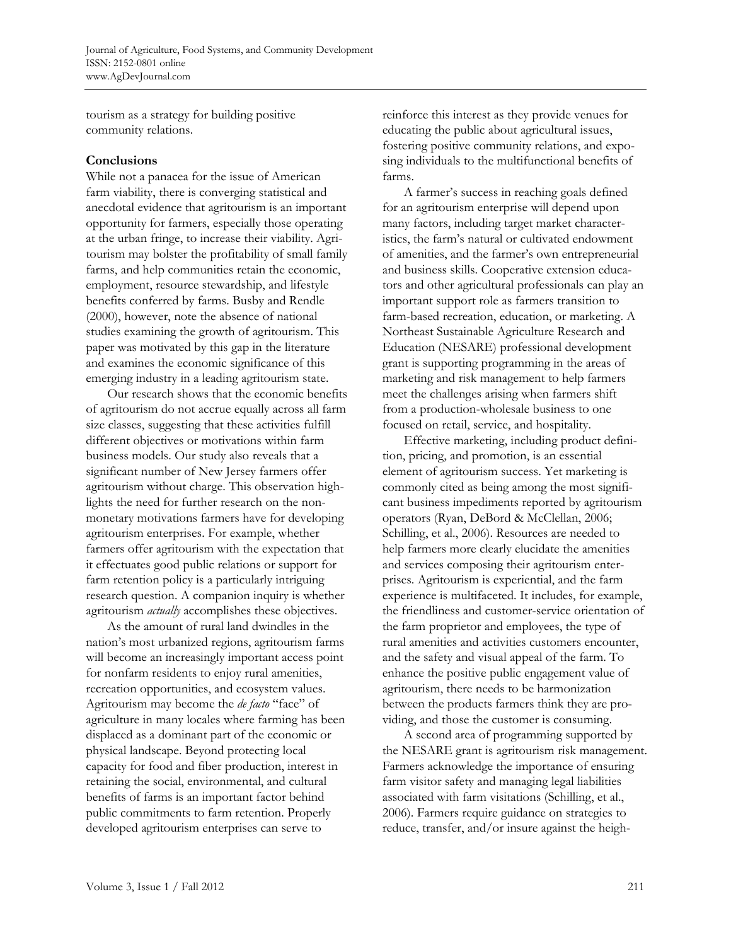tourism as a strategy for building positive community relations.

### **Conclusions**

While not a panacea for the issue of American farm viability, there is converging statistical and anecdotal evidence that agritourism is an important opportunity for farmers, especially those operating at the urban fringe, to increase their viability. Agritourism may bolster the profitability of small family farms, and help communities retain the economic, employment, resource stewardship, and lifestyle benefits conferred by farms. Busby and Rendle (2000), however, note the absence of national studies examining the growth of agritourism. This paper was motivated by this gap in the literature and examines the economic significance of this emerging industry in a leading agritourism state.

 Our research shows that the economic benefits of agritourism do not accrue equally across all farm size classes, suggesting that these activities fulfill different objectives or motivations within farm business models. Our study also reveals that a significant number of New Jersey farmers offer agritourism without charge. This observation highlights the need for further research on the nonmonetary motivations farmers have for developing agritourism enterprises. For example, whether farmers offer agritourism with the expectation that it effectuates good public relations or support for farm retention policy is a particularly intriguing research question. A companion inquiry is whether agritourism *actually* accomplishes these objectives.

 As the amount of rural land dwindles in the nation's most urbanized regions, agritourism farms will become an increasingly important access point for nonfarm residents to enjoy rural amenities, recreation opportunities, and ecosystem values. Agritourism may become the *de facto* "face" of agriculture in many locales where farming has been displaced as a dominant part of the economic or physical landscape. Beyond protecting local capacity for food and fiber production, interest in retaining the social, environmental, and cultural benefits of farms is an important factor behind public commitments to farm retention. Properly developed agritourism enterprises can serve to

reinforce this interest as they provide venues for educating the public about agricultural issues, fostering positive community relations, and exposing individuals to the multifunctional benefits of farms.

 A farmer's success in reaching goals defined for an agritourism enterprise will depend upon many factors, including target market characteristics, the farm's natural or cultivated endowment of amenities, and the farmer's own entrepreneurial and business skills. Cooperative extension educators and other agricultural professionals can play an important support role as farmers transition to farm-based recreation, education, or marketing. A Northeast Sustainable Agriculture Research and Education (NESARE) professional development grant is supporting programming in the areas of marketing and risk management to help farmers meet the challenges arising when farmers shift from a production-wholesale business to one focused on retail, service, and hospitality.

 Effective marketing, including product definition, pricing, and promotion, is an essential element of agritourism success. Yet marketing is commonly cited as being among the most significant business impediments reported by agritourism operators (Ryan, DeBord & McClellan, 2006; Schilling, et al., 2006). Resources are needed to help farmers more clearly elucidate the amenities and services composing their agritourism enterprises. Agritourism is experiential, and the farm experience is multifaceted. It includes, for example, the friendliness and customer-service orientation of the farm proprietor and employees, the type of rural amenities and activities customers encounter, and the safety and visual appeal of the farm. To enhance the positive public engagement value of agritourism, there needs to be harmonization between the products farmers think they are providing, and those the customer is consuming.

 A second area of programming supported by the NESARE grant is agritourism risk management. Farmers acknowledge the importance of ensuring farm visitor safety and managing legal liabilities associated with farm visitations (Schilling, et al., 2006). Farmers require guidance on strategies to reduce, transfer, and/or insure against the heigh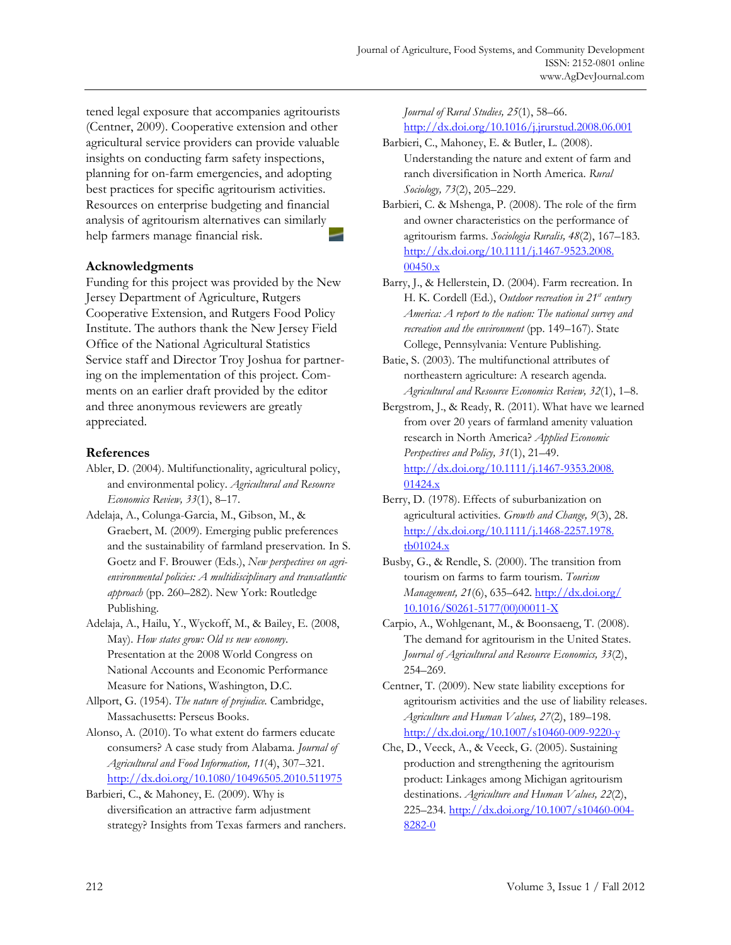tened legal exposure that accompanies agritourists (Centner, 2009). Cooperative extension and other agricultural service providers can provide valuable insights on conducting farm safety inspections, planning for on-farm emergencies, and adopting best practices for specific agritourism activities. Resources on enterprise budgeting and financial analysis of agritourism alternatives can similarly help farmers manage financial risk.

## **Acknowledgments**

Funding for this project was provided by the New Jersey Department of Agriculture, Rutgers Cooperative Extension, and Rutgers Food Policy Institute. The authors thank the New Jersey Field Office of the National Agricultural Statistics Service staff and Director Troy Joshua for partnering on the implementation of this project. Comments on an earlier draft provided by the editor and three anonymous reviewers are greatly appreciated.

## **References**

- Abler, D. (2004). Multifunctionality, agricultural policy, and environmental policy. *Agricultural and Resource Economics Review, 33*(1), 8–17.
- Adelaja, A., Colunga-Garcia, M., Gibson, M., & Graebert, M. (2009). Emerging public preferences and the sustainability of farmland preservation. In S. Goetz and F. Brouwer (Eds.), *New perspectives on agrienvironmental policies: A multidisciplinary and transatlantic approach* (pp. 260–282). New York: Routledge Publishing.
- Adelaja, A., Hailu, Y., Wyckoff, M., & Bailey, E. (2008, May). *How states grow: Old vs new economy*. Presentation at the 2008 World Congress on National Accounts and Economic Performance Measure for Nations, Washington, D.C.
- Allport, G. (1954). *The nature of prejudice.* Cambridge, Massachusetts: Perseus Books.
- Alonso, A. (2010). To what extent do farmers educate consumers? A case study from Alabama. *Journal of Agricultural and Food Information, 11*(4), 307–321. http://dx.doi.org/10.1080/10496505.2010.511975
- Barbieri, C., & Mahoney, E. (2009). Why is diversification an attractive farm adjustment strategy? Insights from Texas farmers and ranchers.

*Journal of Rural Studies, 25*(1), 58–66. http://dx.doi.org/10.1016/j.jrurstud.2008.06.001

- Barbieri, C., Mahoney, E. & Butler, L. (2008). Understanding the nature and extent of farm and ranch diversification in North America. *Rural Sociology, 73*(2), 205–229.
- Barbieri, C. & Mshenga, P. (2008). The role of the firm and owner characteristics on the performance of agritourism farms. *Sociologia Ruralis, 48*(2), 167–183. [http://dx.doi.org/10.1111/j.1467-9523.2008.](http://dx.doi.org/10.1111/j.1467-9523.2008.00450.x) 00450.x
- Barry, J., & Hellerstein, D. (2004). Farm recreation. In H. K. Cordell (Ed.), *Outdoor recreation in 21st century America: A report to the nation: The national survey and recreation and the environment* (pp. 149–167). State College, Pennsylvania: Venture Publishing.
- Batie, S. (2003). The multifunctional attributes of northeastern agriculture: A research agenda. *Agricultural and Resource Economics Review, 32*(1), 1–8.
- Bergstrom, J., & Ready, R. (2011). What have we learned from over 20 years of farmland amenity valuation research in North America? *Applied Economic Perspectives and Policy, 31*(1), 21–49. [http://dx.doi.org/10.1111/j.1467-9353.2008.](http://dx.doi.org/10.1111/j.1467-9353.2008.01424.x)

01424.x

- Berry, D. (1978). Effects of suburbanization on agricultural activities. *Growth and Change, 9*(3), 28. [http://dx.doi.org/10.1111/j.1468-2257.1978.](http://dx.doi.org/10.1111/j.1468-2257.1978.tb01024.x) tb01024.x
- Busby, G., & Rendle, S. (2000). The transition from tourism on farms to farm tourism. *Tourism Management, 21*(6), 635–642. http://dx.doi.org/ [10.1016/S0261-5177\(00\)00011-X](http://dx.doi.org/10.1016/S0261-5177(00)00011-X)
- Carpio, A., Wohlgenant, M., & Boonsaeng, T. (2008). The demand for agritourism in the United States. *Journal of Agricultural and Resource Economics, 33*(2), 254–269.
- Centner, T. (2009). New state liability exceptions for agritourism activities and the use of liability releases. *Agriculture and Human Values, 27*(2), 189–198. http://dx.doi.org/10.1007/s10460-009-9220-y
- Che, D., Veeck, A., & Veeck, G. (2005). Sustaining production and strengthening the agritourism product: Linkages among Michigan agritourism destinations. *Agriculture and Human Values, 22*(2), 225–234. http://dx.doi.org/10.1007/s10460-004- 8282-0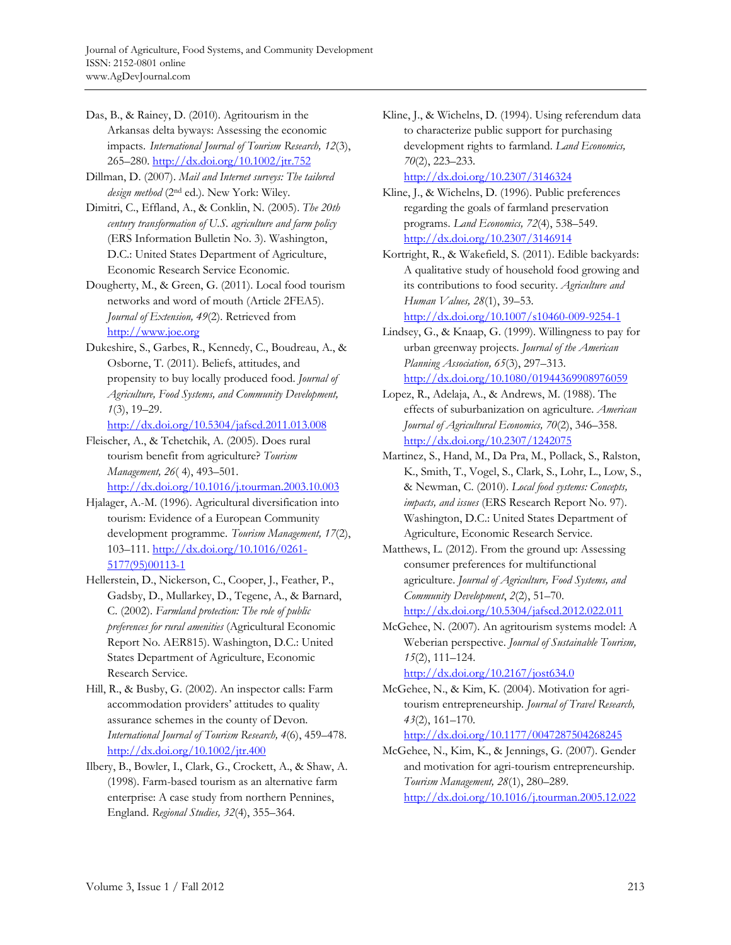Das, B., & Rainey, D. (2010). Agritourism in the Arkansas delta byways: Assessing the economic impacts. *International Journal of Tourism Research, 12*(3), 265–280. http://dx.doi.org/10.1002/jtr.752

Dillman, D. (2007). *Mail and Internet surveys: The tailored design method* (2nd ed.). New York: Wiley.

Dimitri, C., Effland, A., & Conklin, N. (2005). *The 20th century transformation of U.S. agriculture and farm policy* (ERS Information Bulletin No. 3). Washington, D.C.: United States Department of Agriculture, Economic Research Service Economic.

Dougherty, M., & Green, G. (2011). Local food tourism networks and word of mouth (Article 2FEA5). *Journal of Extension, 49*(2). Retrieved from http://www.joe.org

Dukeshire, S., Garbes, R., Kennedy, C., Boudreau, A., & Osborne, T. (2011). Beliefs, attitudes, and propensity to buy locally produced food. *Journal of Agriculture, Food Systems, and Community Development, 1*(3), 19–29.

http://dx.doi.org/10.5304/jafscd.2011.013.008

- Fleischer, A., & Tchetchik, A. (2005). Does rural tourism benefit from agriculture? *Tourism Management, 26*( 4), 493–501. http://dx.doi.org/10.1016/j.tourman.2003.10.003
- Hjalager, A.-M. (1996). Agricultural diversification into tourism: Evidence of a European Community development programme. *Tourism Management, 17*(2), [103–111. http://dx.doi.org/10.1016/0261-](http://dx.doi.org/10.1016/0261-5177(95)00113-1) 5177(95)00113-1
- Hellerstein, D., Nickerson, C., Cooper, J., Feather, P., Gadsby, D., Mullarkey, D., Tegene, A., & Barnard, C. (2002). *Farmland protection: The role of public preferences for rural amenities* (Agricultural Economic Report No. AER815). Washington, D.C.: United States Department of Agriculture, Economic Research Service.

Hill, R., & Busby, G. (2002). An inspector calls: Farm accommodation providers' attitudes to quality assurance schemes in the county of Devon. *International Journal of Tourism Research, 4*(6), 459–478. http://dx.doi.org/10.1002/jtr.400

Ilbery, B., Bowler, I., Clark, G., Crockett, A., & Shaw, A. (1998). Farm-based tourism as an alternative farm enterprise: A case study from northern Pennines, England. *Regional Studies, 32*(4), 355–364.

Kline, J., & Wichelns, D. (1994). Using referendum data to characterize public support for purchasing development rights to farmland. *Land Economics, 70*(2), 223–233.

http://dx.doi.org/10.2307/3146324

Kline, J., & Wichelns, D. (1996). Public preferences regarding the goals of farmland preservation programs. *Land Economics, 72*(4), 538–549. http://dx.doi.org/10.2307/3146914

Kortright, R., & Wakefield, S. (2011). Edible backyards: A qualitative study of household food growing and its contributions to food security. *Agriculture and Human Values, 28*(1), 39–53. http://dx.doi.org/10.1007/s10460-009-9254-1

Lindsey, G., & Knaap, G. (1999). Willingness to pay for urban greenway projects. *Journal of the American Planning Association, 65*(3), 297–313. http://dx.doi.org/10.1080/01944369908976059

Lopez, R., Adelaja, A., & Andrews, M. (1988). The effects of suburbanization on agriculture. *American Journal of Agricultural Economics, 70*(2), 346–358. http://dx.doi.org/10.2307/1242075

- Martinez, S., Hand, M., Da Pra, M., Pollack, S., Ralston, K., Smith, T., Vogel, S., Clark, S., Lohr, L., Low, S., & Newman, C. (2010). *Local food systems: Concepts, impacts, and issues* (ERS Research Report No. 97). Washington, D.C.: United States Department of Agriculture, Economic Research Service.
- Matthews, L. (2012). From the ground up: Assessing consumer preferences for multifunctional agriculture. *Journal of Agriculture, Food Systems, and Community Development*, *2*(2), 51–70. http://dx.doi.org/10.5304/jafscd.2012.022.011

McGehee, N. (2007). An agritourism systems model: A Weberian perspective. *Journal of Sustainable Tourism, 15*(2), 111–124.

http://dx.doi.org/10.2167/jost634.0

McGehee, N., & Kim, K. (2004). Motivation for agritourism entrepreneurship. *Journal of Travel Research, 43*(2), 161–170.

http://dx.doi.org/10.1177/0047287504268245

```
McGehee, N., Kim, K., & Jennings, G. (2007). Gender 
and motivation for agri-tourism entrepreneurship. 
Tourism Management, 28(1), 280–289. 
http://dx.doi.org/10.1016/j.tourman.2005.12.022
```